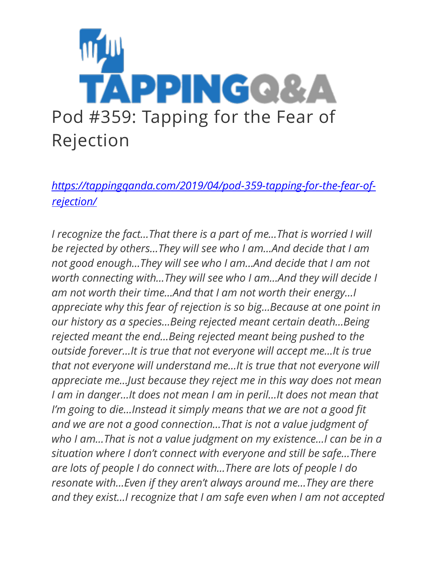

*[https://tappingqanda.com/2019/04/pod-359-tapping-for-the-fear-of](https://tappingqanda.com/2019/04/pod-359-tapping-for-the-fear-of-rejection/)[rejection/](https://tappingqanda.com/2019/04/pod-359-tapping-for-the-fear-of-rejection/)*

*I recognize the fact…That there is a part of me…That is worried I will be rejected by others…They will see who I am…And decide that I am not good enough…They will see who I am…And decide that I am not worth connecting with…They will see who I am…And they will decide I am not worth their time…And that I am not worth their energy…I appreciate why this fear of rejection is so big…Because at one point in our history as a species…Being rejected meant certain death…Being rejected meant the end…Being rejected meant being pushed to the outside forever…It is true that not everyone will accept me…It is true that not everyone will understand me…It is true that not everyone will appreciate me…Just because they reject me in this way does not mean I am in danger…It does not mean I am in peril…It does not mean that I'm going to die…Instead it simply means that we are not a good fit and we are not a good connection…That is not a value judgment of who I am…That is not a value judgment on my existence…I can be in a situation where I don't connect with everyone and still be safe…There are lots of people I do connect with…There are lots of people I do resonate with…Even if they aren't always around me…They are there and they exist…I recognize that I am safe even when I am not accepted*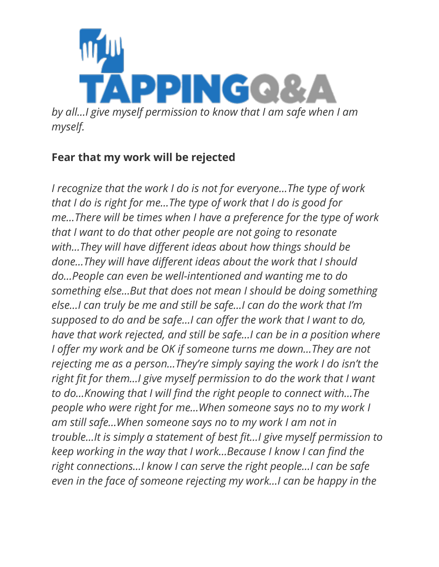

## **Fear that my work will be rejected**

*I recognize that the work I do is not for everyone…The type of work that I do is right for me…The type of work that I do is good for me…There will be times when I have a preference for the type of work that I want to do that other people are not going to resonate with…They will have different ideas about how things should be done…They will have different ideas about the work that I should do…People can even be well-intentioned and wanting me to do something else…But that does not mean I should be doing something else…I can truly be me and still be safe…I can do the work that I'm supposed to do and be safe…I can offer the work that I want to do, have that work rejected, and still be safe…I can be in a position where I offer my work and be OK if someone turns me down...They are not rejecting me as a person…They're simply saying the work I do isn't the right fit for them...I give myself permission to do the work that I want to do…Knowing that I will find the right people to connect with…The people who were right for me…When someone says no to my work I am still safe…When someone says no to my work I am not in trouble…It is simply a statement of best fit…I give myself permission to keep working in the way that I work…Because I know I can find the right connections…I know I can serve the right people…I can be safe even in the face of someone rejecting my work…I can be happy in the*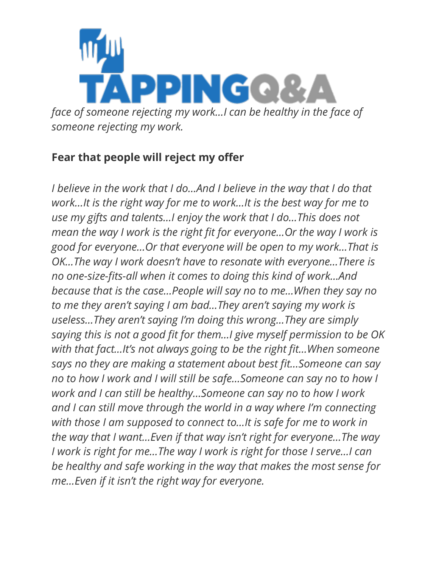

## **Fear that people will reject my offer**

*I believe in the work that I do...And I believe in the way that I do that work…It is the right way for me to work…It is the best way for me to use my gifts and talents…I enjoy the work that I do…This does not mean the way I work is the right fit for everyone…Or the way I work is good for everyone…Or that everyone will be open to my work…That is OK...The way I work doesn't have to resonate with everyone...There is no one-size-fits-all when it comes to doing this kind of work…And because that is the case…People will say no to me…When they say no to me they aren't saying I am bad…They aren't saying my work is useless…They aren't saying I'm doing this wrong…They are simply saying this is not a good fit for them…I give myself permission to be OK with that fact…It's not always going to be the right fit…When someone says no they are making a statement about best fit…Someone can say no to how I work and I will still be safe…Someone can say no to how I work and I can still be healthy…Someone can say no to how I work and I can still move through the world in a way where I'm connecting with those I am supposed to connect to…It is safe for me to work in the way that I want…Even if that way isn't right for everyone…The way I work is right for me…The way I work is right for those I serve…I can be healthy and safe working in the way that makes the most sense for me…Even if it isn't the right way for everyone.*